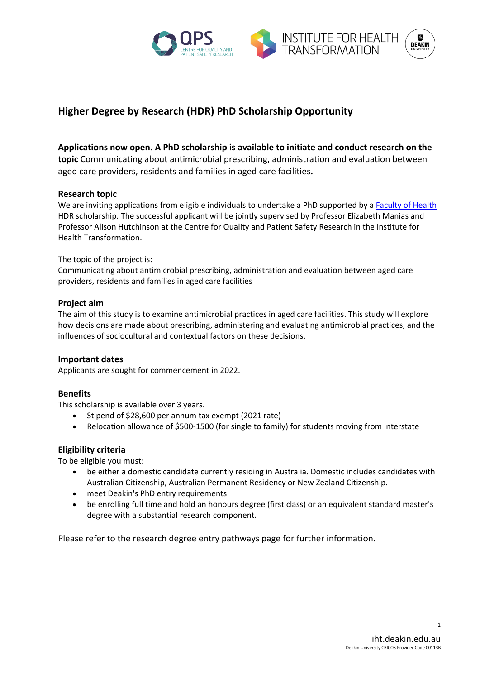



# **Higher Degree by Research (HDR) PhD Scholarship Opportunity**

## **Applications now open. A PhD scholarship is available to initiate and conduct research on the**

**topic** Communicating about antimicrobial prescribing, administration and evaluation between aged care providers, residents and families in aged care facilities**.**

#### **Research topic**

We are inviting applications from eligible individuals to undertake a PhD supported by a Faculty of Health HDR scholarship. The successful applicant will be jointly supervised by Professor Elizabeth Manias and Professor Alison Hutchinson at the Centre for Quality and Patient Safety Research in the Institute for Health Transformation.

The topic of the project is:

Communicating about antimicrobial prescribing, administration and evaluation between aged care providers, residents and families in aged care facilities

### **Project aim**

The aim of this study is to examine antimicrobial practices in aged care facilities. This study will explore how decisions are made about prescribing, administering and evaluating antimicrobial practices, and the influences of sociocultural and contextual factors on these decisions.

#### **Important dates**

Applicants are sought for commencement in 2022.

#### **Benefits**

This scholarship is available over 3 years.

- Stipend of \$28,600 per annum tax exempt (2021 rate)
- Relocation allowance of \$500-1500 (for single to family) for students moving from interstate

#### **Eligibility criteria**

To be eligible you must:

- be either a domestic candidate currently residing in Australia. Domestic includes candidates with Australian Citizenship, Australian Permanent Residency or New Zealand Citizenship.
- meet Deakin's PhD entry requirements
- be enrolling full time and hold an honours degree (first class) or an equivalent standard master's degree with a substantial research component.

Please refer to the [research degree entry pathways](https://www.deakin.edu.au/research/research-degrees-and-PhD/research-degree-entry-pathways) page for further information.